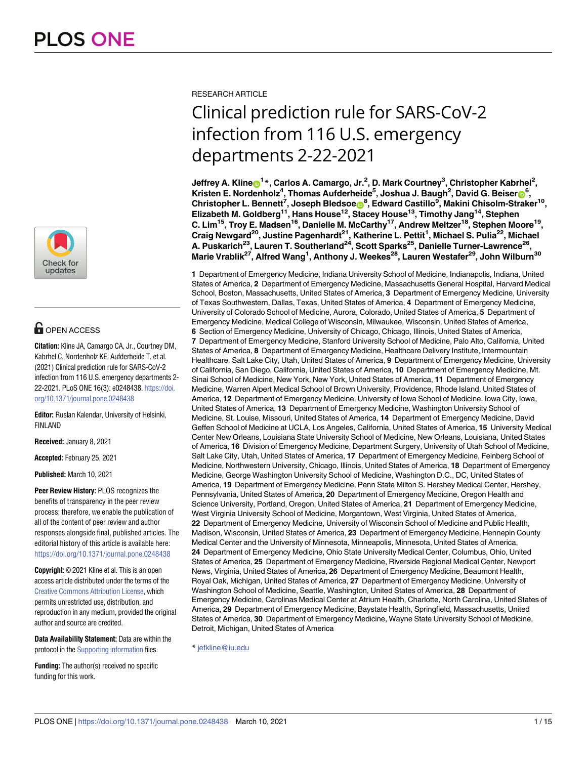

# **O** OPEN ACCESS

**Citation:** Kline JA, Camargo CA, Jr., Courtney DM, Kabrhel C, Nordenholz KE, Aufderheide T, et al. (2021) Clinical prediction rule for SARS-CoV-2 infection from 116 U.S. emergency departments 2- 22-2021. PLoS ONE 16(3): e0248438. [https://doi.](https://doi.org/10.1371/journal.pone.0248438) [org/10.1371/journal.pone.0248438](https://doi.org/10.1371/journal.pone.0248438)

**Editor:** Ruslan Kalendar, University of Helsinki, FINLAND

**Received:** January 8, 2021

**Accepted:** February 25, 2021

**Published:** March 10, 2021

**Peer Review History:** PLOS recognizes the benefits of transparency in the peer review process; therefore, we enable the publication of all of the content of peer review and author responses alongside final, published articles. The editorial history of this article is available here: <https://doi.org/10.1371/journal.pone.0248438>

**Copyright:** © 2021 Kline et al. This is an open access article distributed under the terms of the Creative Commons [Attribution](http://creativecommons.org/licenses/by/4.0/) License, which permits unrestricted use, distribution, and reproduction in any medium, provided the original author and source are credited.

**Data Availability Statement:** Data are within the protocol in the Supporting [information](#page-12-0) files.

**Funding:** The author(s) received no specific funding for this work.

RESEARCH ARTICLE

# Clinical prediction rule for SARS-CoV-2 infection from 116 U.S. emergency departments 2-22-2021

 $\mathbf{I} = \mathbf{I} + \mathbf{I}$  **Carlos A. Camargo, Jr.<sup>2</sup>, D. Mark Courtney** $^3$ **, Christopher Kabrhel** $^2$ **, Kristen E. Nordenholz<sup>4</sup>, Thomas Aufderheide<sup>5</sup>, Joshua J. Baugh<sup>2</sup>, David G. Beiser<sup>66</sup>, Christopher L. Bennett7 , Joseph Bledsoe[ID8](https://orcid.org/0000-0002-3005-2878) , Edward Castillo9 , Makini Chisolm-Straker10, Elizabeth M. Goldberg11, Hans House12, Stacey House13, Timothy Jang14, Stephen C. Lim15, Troy E. Madsen16, Danielle M. McCarthy17, Andrew Meltzer18, Stephen Moore19, Craig Newgard20, Justine Pagenhardt21, Katherine L. Pettit1 , Michael S. Pulia22, Michael A. Puskarich23, Lauren T. Southerland24, Scott Sparks25, Danielle Turner-Lawrence26, Marie Vrablik27, Alfred Wang1 , Anthony J. Weekes28, Lauren Westafer29, John Wilburn30**

**1** Department of Emergency Medicine, Indiana University School of Medicine, Indianapolis, Indiana, United States of America, **2** Department of Emergency Medicine, Massachusetts General Hospital, Harvard Medical School, Boston, Massachusetts, United States of America, **3** Department of Emergency Medicine, University of Texas Southwestern, Dallas, Texas, United States of America, **4** Department of Emergency Medicine, University of Colorado School of Medicine, Aurora, Colorado, United States of America, **5** Department of Emergency Medicine, Medical College of Wisconsin, Milwaukee, Wisconsin, United States of America, **6** Section of Emergency Medicine, University of Chicago, Chicago, Illinois, United States of America, **7** Department of Emergency Medicine, Stanford University School of Medicine, Palo Alto, California, United States of America, **8** Department of Emergency Medicine, Healthcare Delivery Institute, Intermountain Healthcare, Salt Lake City, Utah, United States of America, **9** Department of Emergency Medicine, University of California, San Diego, California, United States of America, **10** Department of Emergency Medicine, Mt. Sinai School of Medicine, New York, New York, United States of America, **11** Department of Emergency Medicine, Warren Alpert Medical School of Brown University, Providence, Rhode Island, United States of America, **12** Department of Emergency Medicine, University of Iowa School of Medicine, Iowa City, Iowa, United States of America, **13** Department of Emergency Medicine, Washington University School of Medicine, St. Louise, Missouri, United States of America, **14** Department of Emergency Medicine, David Geffen School of Medicine at UCLA, Los Angeles, California, United States of America, **15** University Medical Center New Orleans, Louisiana State University School of Medicine, New Orleans, Louisiana, United States of America, **16** Division of Emergency Medicine, Department Surgery, University of Utah School of Medicine, Salt Lake City, Utah, United States of America, **17** Department of Emergency Medicine, Feinberg School of Medicine, Northwestern University, Chicago, Illinois, United States of America, **18** Department of Emergency Medicine, George Washington University School of Medicine, Washington D.C., DC, United States of America, **19** Department of Emergency Medicine, Penn State Milton S. Hershey Medical Center, Hershey, Pennsylvania, United States of America, **20** Department of Emergency Medicine, Oregon Health and Science University, Portland, Oregon, United States of America, **21** Department of Emergency Medicine, West Virginia University School of Medicine, Morgantown, West Virginia, United States of America, **22** Department of Emergency Medicine, University of Wisconsin School of Medicine and Public Health, Madison, Wisconsin, United States of America, **23** Department of Emergency Medicine, Hennepin County Medical Center and the University of Minnesota, Minneapolis, Minnesota, United States of America, **24** Department of Emergency Medicine, Ohio State University Medical Center, Columbus, Ohio, United States of America, **25** Department of Emergency Medicine, Riverside Regional Medical Center, Newport News, Virginia, United States of America, **26** Department of Emergency Medicine, Beaumont Health, Royal Oak, Michigan, United States of America, **27** Department of Emergency Medicine, University of Washington School of Medicine, Seattle, Washington, United States of America, **28** Department of Emergency Medicine, Carolinas Medical Center at Atrium Health, Charlotte, North Carolina, United States of America, **29** Department of Emergency Medicine, Baystate Health, Springfield, Massachusetts, United States of America, **30** Department of Emergency Medicine, Wayne State University School of Medicine, Detroit, Michigan, United States of America

\* jefkline@iu.edu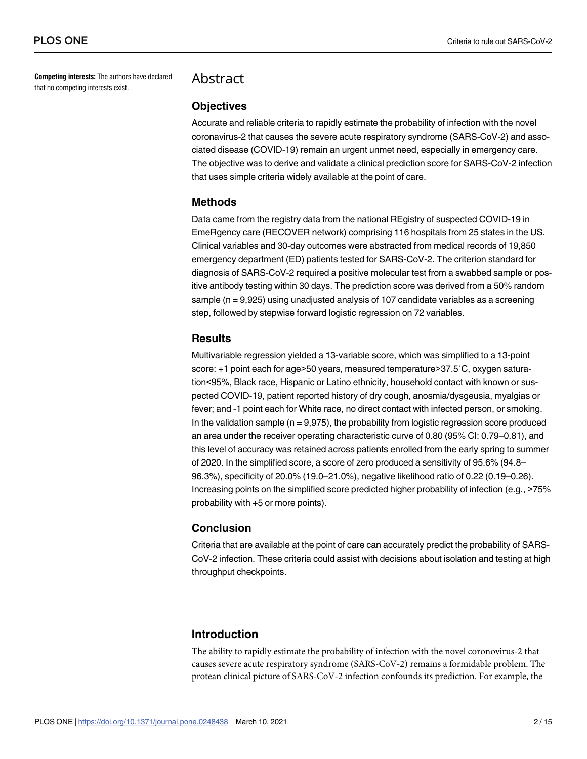**Competing interests:** The authors have declared that no competing interests exist.

# Abstract

#### **Objectives**

Accurate and reliable criteria to rapidly estimate the probability of infection with the novel coronavirus-2 that causes the severe acute respiratory syndrome (SARS-CoV-2) and associated disease (COVID-19) remain an urgent unmet need, especially in emergency care. The objective was to derive and validate a clinical prediction score for SARS-CoV-2 infection that uses simple criteria widely available at the point of care.

#### **Methods**

Data came from the registry data from the national REgistry of suspected COVID-19 in EmeRgency care (RECOVER network) comprising 116 hospitals from 25 states in the US. Clinical variables and 30-day outcomes were abstracted from medical records of 19,850 emergency department (ED) patients tested for SARS-CoV-2. The criterion standard for diagnosis of SARS-CoV-2 required a positive molecular test from a swabbed sample or positive antibody testing within 30 days. The prediction score was derived from a 50% random sample (n = 9,925) using unadjusted analysis of 107 candidate variables as a screening step, followed by stepwise forward logistic regression on 72 variables.

#### **Results**

Multivariable regression yielded a 13-variable score, which was simplified to a 13-point score: +1 point each for age>50 years, measured temperature>37.5°C, oxygen saturation<95%, Black race, Hispanic or Latino ethnicity, household contact with known or suspected COVID-19, patient reported history of dry cough, anosmia/dysgeusia, myalgias or fever; and -1 point each for White race, no direct contact with infected person, or smoking. In the validation sample ( $n = 9.975$ ), the probability from logistic regression score produced an area under the receiver operating characteristic curve of 0.80 (95% CI: 0.79–0.81), and this level of accuracy was retained across patients enrolled from the early spring to summer of 2020. In the simplified score, a score of zero produced a sensitivity of 95.6% (94.8– 96.3%), specificity of 20.0% (19.0–21.0%), negative likelihood ratio of 0.22 (0.19–0.26). Increasing points on the simplified score predicted higher probability of infection (e.g., >75% probability with +5 or more points).

#### **Conclusion**

Criteria that are available at the point of care can accurately predict the probability of SARS-CoV-2 infection. These criteria could assist with decisions about isolation and testing at high throughput checkpoints.

# **Introduction**

The ability to rapidly estimate the probability of infection with the novel coronovirus-2 that causes severe acute respiratory syndrome (SARS-CoV-2) remains a formidable problem. The protean clinical picture of SARS-CoV-2 infection confounds its prediction. For example, the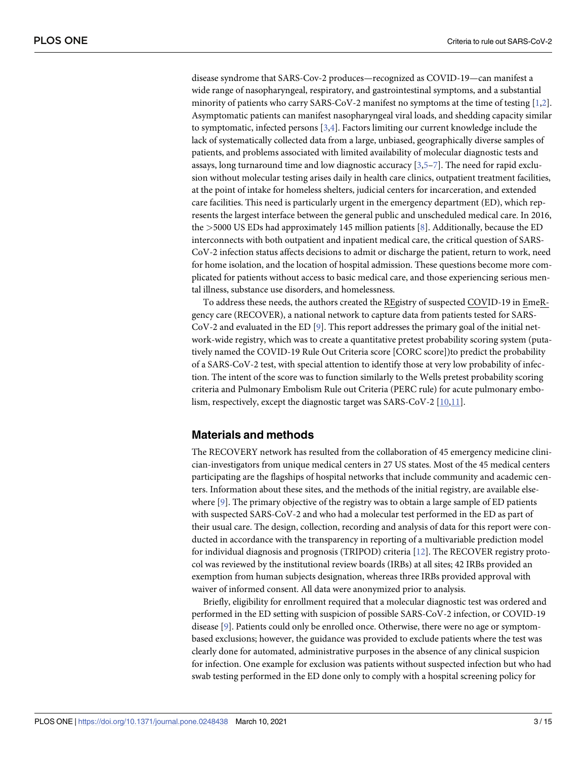<span id="page-2-0"></span>disease syndrome that SARS-Cov-2 produces—recognized as COVID-19—can manifest a wide range of nasopharyngeal, respiratory, and gastrointestinal symptoms, and a substantial minority of patients who carry SARS-CoV-2 manifest no symptoms at the time of testing [\[1](#page-13-0),[2](#page-13-0)]. Asymptomatic patients can manifest nasopharyngeal viral loads, and shedding capacity similar to symptomatic, infected persons [\[3,4](#page-13-0)]. Factors limiting our current knowledge include the lack of systematically collected data from a large, unbiased, geographically diverse samples of patients, and problems associated with limited availability of molecular diagnostic tests and assays, long turnaround time and low diagnostic accuracy [\[3,5–7\]](#page-13-0). The need for rapid exclusion without molecular testing arises daily in health care clinics, outpatient treatment facilities, at the point of intake for homeless shelters, judicial centers for incarceration, and extended care facilities. This need is particularly urgent in the emergency department (ED), which represents the largest interface between the general public and unscheduled medical care. In 2016, the *>*5000 US EDs had approximately 145 million patients [\[8](#page-13-0)]. Additionally, because the ED interconnects with both outpatient and inpatient medical care, the critical question of SARS-CoV-2 infection status affects decisions to admit or discharge the patient, return to work, need for home isolation, and the location of hospital admission. These questions become more complicated for patients without access to basic medical care, and those experiencing serious mental illness, substance use disorders, and homelessness.

To address these needs, the authors created the REgistry of suspected COVID-19 in EmeRgency care (RECOVER), a national network to capture data from patients tested for SARS-CoV-2 and evaluated in the ED [\[9\]](#page-13-0). This report addresses the primary goal of the initial network-wide registry, which was to create a quantitative pretest probability scoring system (putatively named the COVID-19 Rule Out Criteria score [CORC score])to predict the probability of a SARS-CoV-2 test, with special attention to identify those at very low probability of infection. The intent of the score was to function similarly to the Wells pretest probability scoring criteria and Pulmonary Embolism Rule out Criteria (PERC rule) for acute pulmonary embolism, respectively, except the diagnostic target was SARS-CoV-2 [[10](#page-13-0),[11\]](#page-13-0).

#### **Materials and methods**

The RECOVERY network has resulted from the collaboration of 45 emergency medicine clinician-investigators from unique medical centers in 27 US states. Most of the 45 medical centers participating are the flagships of hospital networks that include community and academic centers. Information about these sites, and the methods of the initial registry, are available elsewhere [[9\]](#page-13-0). The primary objective of the registry was to obtain a large sample of ED patients with suspected SARS-CoV-2 and who had a molecular test performed in the ED as part of their usual care. The design, collection, recording and analysis of data for this report were conducted in accordance with the transparency in reporting of a multivariable prediction model for individual diagnosis and prognosis (TRIPOD) criteria [\[12\]](#page-13-0). The RECOVER registry protocol was reviewed by the institutional review boards (IRBs) at all sites; 42 IRBs provided an exemption from human subjects designation, whereas three IRBs provided approval with waiver of informed consent. All data were anonymized prior to analysis.

Briefly, eligibility for enrollment required that a molecular diagnostic test was ordered and performed in the ED setting with suspicion of possible SARS-CoV-2 infection, or COVID-19 disease [[9](#page-13-0)]. Patients could only be enrolled once. Otherwise, there were no age or symptombased exclusions; however, the guidance was provided to exclude patients where the test was clearly done for automated, administrative purposes in the absence of any clinical suspicion for infection. One example for exclusion was patients without suspected infection but who had swab testing performed in the ED done only to comply with a hospital screening policy for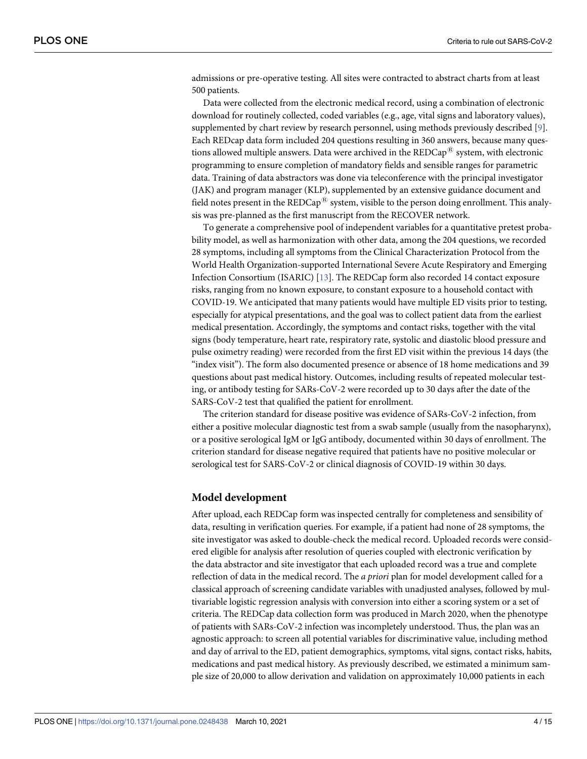<span id="page-3-0"></span>admissions or pre-operative testing. All sites were contracted to abstract charts from at least 500 patients.

Data were collected from the electronic medical record, using a combination of electronic download for routinely collected, coded variables (e.g., age, vital signs and laboratory values), supplemented by chart review by research personnel, using methods previously described [\[9\]](#page-13-0). Each REDcap data form included 204 questions resulting in 360 answers, because many questions allowed multiple answers. Data were archived in the  $REDCap^{\circledR}$  system, with electronic programming to ensure completion of mandatory fields and sensible ranges for parametric data. Training of data abstractors was done via teleconference with the principal investigator (JAK) and program manager (KLP), supplemented by an extensive guidance document and field notes present in the  $REDCap^{\mathfrak{B}}$  system, visible to the person doing enrollment. This analysis was pre-planned as the first manuscript from the RECOVER network.

To generate a comprehensive pool of independent variables for a quantitative pretest probability model, as well as harmonization with other data, among the 204 questions, we recorded 28 symptoms, including all symptoms from the Clinical Characterization Protocol from the World Health Organization-supported International Severe Acute Respiratory and Emerging Infection Consortium (ISARIC) [\[13\]](#page-14-0). The REDCap form also recorded 14 contact exposure risks, ranging from no known exposure, to constant exposure to a household contact with COVID-19. We anticipated that many patients would have multiple ED visits prior to testing, especially for atypical presentations, and the goal was to collect patient data from the earliest medical presentation. Accordingly, the symptoms and contact risks, together with the vital signs (body temperature, heart rate, respiratory rate, systolic and diastolic blood pressure and pulse oximetry reading) were recorded from the first ED visit within the previous 14 days (the "index visit"). The form also documented presence or absence of 18 home medications and 39 questions about past medical history. Outcomes, including results of repeated molecular testing, or antibody testing for SARs-CoV-2 were recorded up to 30 days after the date of the SARS-CoV-2 test that qualified the patient for enrollment.

The criterion standard for disease positive was evidence of SARs-CoV-2 infection, from either a positive molecular diagnostic test from a swab sample (usually from the nasopharynx), or a positive serological IgM or IgG antibody, documented within 30 days of enrollment. The criterion standard for disease negative required that patients have no positive molecular or serological test for SARS-CoV-2 or clinical diagnosis of COVID-19 within 30 days.

#### **Model development**

After upload, each REDCap form was inspected centrally for completeness and sensibility of data, resulting in verification queries. For example, if a patient had none of 28 symptoms, the site investigator was asked to double-check the medical record. Uploaded records were considered eligible for analysis after resolution of queries coupled with electronic verification by the data abstractor and site investigator that each uploaded record was a true and complete reflection of data in the medical record. The *a priori* plan for model development called for a classical approach of screening candidate variables with unadjusted analyses, followed by multivariable logistic regression analysis with conversion into either a scoring system or a set of criteria. The REDCap data collection form was produced in March 2020, when the phenotype of patients with SARs-CoV-2 infection was incompletely understood. Thus, the plan was an agnostic approach: to screen all potential variables for discriminative value, including method and day of arrival to the ED, patient demographics, symptoms, vital signs, contact risks, habits, medications and past medical history. As previously described, we estimated a minimum sample size of 20,000 to allow derivation and validation on approximately 10,000 patients in each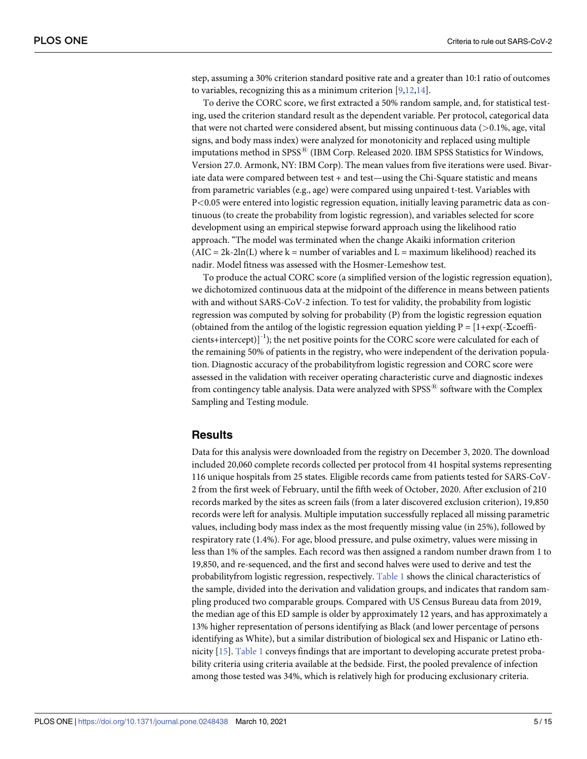<span id="page-4-0"></span>step, assuming a 30% criterion standard positive rate and a greater than 10:1 ratio of outcomes to variables, recognizing this as a minimum criterion [[9](#page-13-0),[12](#page-13-0)[,14\]](#page-14-0).

To derive the CORC score, we first extracted a 50% random sample, and, for statistical testing, used the criterion standard result as the dependent variable. Per protocol, categorical data that were not charted were considered absent, but missing continuous data (*>*0.1%, age, vital signs, and body mass index) were analyzed for monotonicity and replaced using multiple imputations method in SPSS<sup>®</sup> (IBM Corp. Released 2020. IBM SPSS Statistics for Windows, Version 27.0. Armonk, NY: IBM Corp). The mean values from five iterations were used. Bivariate data were compared between test + and test—using the Chi-Square statistic and means from parametric variables (e.g., age) were compared using unpaired t-test. Variables with P*<*0.05 were entered into logistic regression equation, initially leaving parametric data as continuous (to create the probability from logistic regression), and variables selected for score development using an empirical stepwise forward approach using the likelihood ratio approach. "The model was terminated when the change Akaiki information criterion  $(AIC = 2k-2ln(L)$  where  $k =$  number of variables and  $L =$  maximum likelihood) reached its nadir. Model fitness was assessed with the Hosmer-Lemeshow test.

To produce the actual CORC score (a simplified version of the logistic regression equation), we dichotomized continuous data at the midpoint of the difference in means between patients with and without SARS-CoV-2 infection. To test for validity, the probability from logistic regression was computed by solving for probability (P) from the logistic regression equation (obtained from the antilog of the logistic regression equation yielding  $P = [1+\exp(-\Sigma \text{coeff} - \Sigma)]$ cients+intercept) $]^{-1}$ ; the net positive points for the CORC score were calculated for each of the remaining 50% of patients in the registry, who were independent of the derivation population. Diagnostic accuracy of the probabilityfrom logistic regression and CORC score were assessed in the validation with receiver operating characteristic curve and diagnostic indexes from contingency table analysis. Data were analyzed with  $SPSS^{\circledR}$  software with the Complex Sampling and Testing module.

# **Results**

Data for this analysis were downloaded from the registry on December 3, 2020. The download included 20,060 complete records collected per protocol from 41 hospital systems representing 116 unique hospitals from 25 states. Eligible records came from patients tested for SARS-CoV-2 from the first week of February, until the fifth week of October, 2020. After exclusion of 210 records marked by the sites as screen fails (from a later discovered exclusion criterion), 19,850 records were left for analysis. Multiple imputation successfully replaced all missing parametric values, including body mass index as the most frequently missing value (in 25%), followed by respiratory rate (1.4%). For age, blood pressure, and pulse oximetry, values were missing in less than 1% of the samples. Each record was then assigned a random number drawn from 1 to 19,850, and re-sequenced, and the first and second halves were used to derive and test the probabilityfrom logistic regression, respectively. [Table](#page-5-0) 1 shows the clinical characteristics of the sample, divided into the derivation and validation groups, and indicates that random sampling produced two comparable groups. Compared with US Census Bureau data from 2019, the median age of this ED sample is older by approximately 12 years, and has approximately a 13% higher representation of persons identifying as Black (and lower percentage of persons identifying as White), but a similar distribution of biological sex and Hispanic or Latino ethnicity [\[15\]](#page-14-0). [Table](#page-5-0) 1 conveys findings that are important to developing accurate pretest probability criteria using criteria available at the bedside. First, the pooled prevalence of infection among those tested was 34%, which is relatively high for producing exclusionary criteria.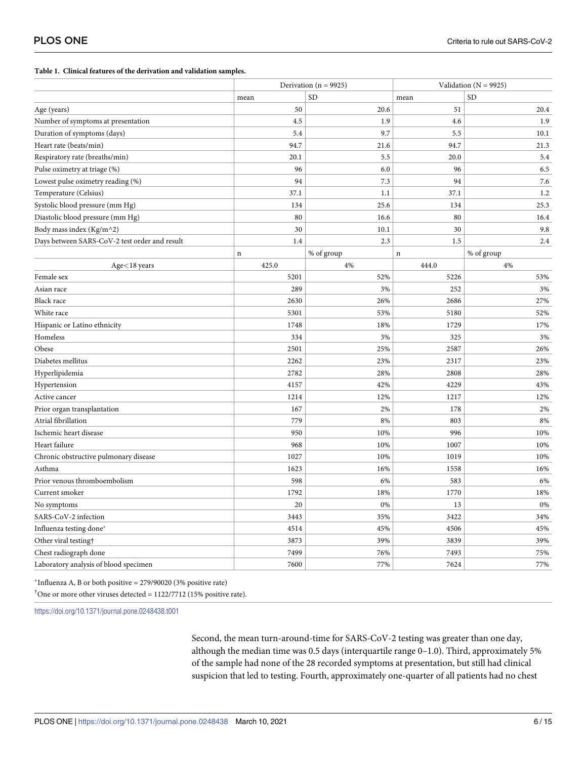<span id="page-5-0"></span>**[Table](#page-4-0) 1. Clinical features of the derivation and validation samples.**

|                                               |             | Derivation ( $n = 9925$ ) |             | Validation ( $N = 9925$ ) |  |
|-----------------------------------------------|-------------|---------------------------|-------------|---------------------------|--|
|                                               | mean        | <b>SD</b>                 | mean        | <b>SD</b>                 |  |
| Age (years)                                   | 50          | 20.6                      | 51          | 20.4                      |  |
| Number of symptoms at presentation            | 4.5         | 1.9                       | 4.6         | 1.9                       |  |
| Duration of symptoms (days)                   | 5.4         | 9.7                       | 5.5         | 10.1                      |  |
| Heart rate (beats/min)                        | 94.7        | 21.6                      | 94.7        | 21.3                      |  |
| Respiratory rate (breaths/min)                | 20.1        | 5.5                       | 20.0        | 5.4                       |  |
| Pulse oximetry at triage (%)                  | 96          | 6.0                       | 96          | 6.5                       |  |
| Lowest pulse oximetry reading (%)             | 94          | 7.3                       | 94          | 7.6                       |  |
| Temperature (Celsius)                         | 37.1        | 1.1                       | 37.1        | 1.2                       |  |
| Systolic blood pressure (mm Hg)               | 134         | 25.6                      | 134         | 25.3                      |  |
| Diastolic blood pressure (mm Hg)              | 80          | 16.6                      | 80          | 16.4                      |  |
| Body mass index (Kg/m^2)                      | 30          | 10.1                      | 30          | 9.8                       |  |
| Days between SARS-CoV-2 test order and result | 1.4         | 2.3                       | 1.5         | 2.4                       |  |
|                                               | $\mathbf n$ | % of group                | $\mathbf n$ | % of group                |  |
| $Age < 18$ years                              | 425.0       | 4%                        | 444.0       | 4%                        |  |
| Female sex                                    | 5201        | 52%                       | 5226        | 53%                       |  |
| Asian race                                    | 289         | 3%                        | 252         | 3%                        |  |
| Black race                                    | 2630        | 26%                       | 2686        | 27%                       |  |
| White race                                    | 5301        | 53%                       | 5180        | 52%                       |  |
| Hispanic or Latino ethnicity                  | 1748        | 18%                       | 1729        | 17%                       |  |
| Homeless                                      | 334         | 3%                        | 325         | 3%                        |  |
| Obese                                         | 2501        | 25%                       | 2587        | 26%                       |  |
| Diabetes mellitus                             | 2262        | 23%                       | 2317        | 23%                       |  |
| Hyperlipidemia                                | 2782        | 28%                       | 2808        | 28%                       |  |
| Hypertension                                  | 4157        | 42%                       | 4229        | 43%                       |  |
| Active cancer                                 | 1214        | 12%                       | 1217        | 12%                       |  |
| Prior organ transplantation                   | 167         | 2%                        | 178         | 2%                        |  |
| Atrial fibrillation                           | 779         | 8%                        | 803         | 8%                        |  |
| Ischemic heart disease                        | 950         | 10%                       | 996         | 10%                       |  |
| Heart failure                                 | 968         | 10%                       | 1007        | 10%                       |  |
| Chronic obstructive pulmonary disease         | 1027        | 10%                       | 1019        | 10%                       |  |
| Asthma                                        | 1623        | 16%                       | 1558        | 16%                       |  |
| Prior venous thromboembolism                  | 598         | 6%                        | 583         | 6%                        |  |
| Current smoker                                | 1792        | 18%                       | 1770        | 18%                       |  |
| No symptoms                                   | 20          | 0%                        | 13          | 0%                        |  |
| SARS-CoV-2 infection                          | 3443        | 35%                       | 3422        | 34%                       |  |
| Influenza testing done*                       | 4514        | 45%                       | 4506        | 45%                       |  |
| Other viral testing†                          | 3873        | 39%                       | 3839        | 39%                       |  |
| Chest radiograph done                         | 7499        | 76%                       | 7493        | 75%                       |  |
| Laboratory analysis of blood specimen         | 7600        | 77%                       | 7624        | 77%                       |  |

\*Influenza A, B or both positive =  $279/90020$  (3% positive rate)

<sup>†</sup>One or more other viruses detected =  $1122/7712$  (15% positive rate).

<https://doi.org/10.1371/journal.pone.0248438.t001>

Second, the mean turn-around-time for SARS-CoV-2 testing was greater than one day, although the median time was 0.5 days (interquartile range 0–1.0). Third, approximately 5% of the sample had none of the 28 recorded symptoms at presentation, but still had clinical suspicion that led to testing. Fourth, approximately one-quarter of all patients had no chest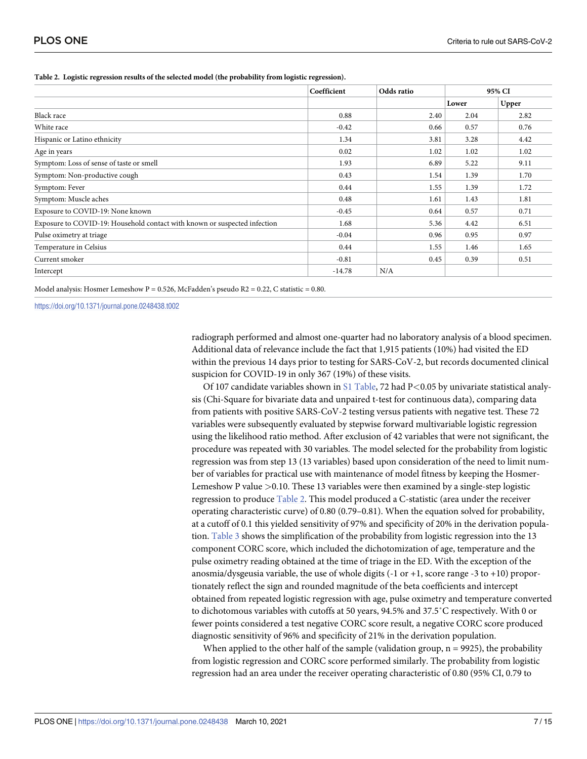|                                                                           | Coefficient | Odds ratio |       | 95% CI |  |
|---------------------------------------------------------------------------|-------------|------------|-------|--------|--|
|                                                                           |             |            | Lower | Upper  |  |
| Black race                                                                | 0.88        | 2.40       | 2.04  | 2.82   |  |
| White race                                                                | $-0.42$     | 0.66       | 0.57  | 0.76   |  |
| Hispanic or Latino ethnicity                                              | 1.34        | 3.81       | 3.28  | 4.42   |  |
| Age in years                                                              | 0.02        | 1.02       | 1.02  | 1.02   |  |
| Symptom: Loss of sense of taste or smell                                  | 1.93        | 6.89       | 5.22  | 9.11   |  |
| Symptom: Non-productive cough                                             | 0.43        | 1.54       | 1.39  | 1.70   |  |
| Symptom: Fever                                                            | 0.44        | 1.55       | 1.39  | 1.72   |  |
| Symptom: Muscle aches                                                     | 0.48        | 1.61       | 1.43  | 1.81   |  |
| Exposure to COVID-19: None known                                          | $-0.45$     | 0.64       | 0.57  | 0.71   |  |
| Exposure to COVID-19: Household contact with known or suspected infection | 1.68        | 5.36       | 4.42  | 6.51   |  |
| Pulse oximetry at triage                                                  | $-0.04$     | 0.96       | 0.95  | 0.97   |  |
| Temperature in Celsius                                                    | 0.44        | 1.55       | 1.46  | 1.65   |  |
| Current smoker                                                            | $-0.81$     | 0.45       | 0.39  | 0.51   |  |
| Intercept                                                                 | $-14.78$    | N/A        |       |        |  |

#### <span id="page-6-0"></span>**Table 2. Logistic regression results of the selected model (the probability from logistic regression).**

Model analysis: Hosmer Lemeshow P = 0.526, McFadden's pseudo R2 = 0.22, C statistic = 0.80.

<https://doi.org/10.1371/journal.pone.0248438.t002>

radiograph performed and almost one-quarter had no laboratory analysis of a blood specimen. Additional data of relevance include the fact that 1,915 patients (10%) had visited the ED within the previous 14 days prior to testing for SARS-CoV-2, but records documented clinical suspicion for COVID-19 in only 367 (19%) of these visits.

Of 107 candidate variables shown in S1 [Table,](#page-12-0) 72 had P*<*0.05 by univariate statistical analysis (Chi-Square for bivariate data and unpaired t-test for continuous data), comparing data from patients with positive SARS-CoV-2 testing versus patients with negative test. These 72 variables were subsequently evaluated by stepwise forward multivariable logistic regression using the likelihood ratio method. After exclusion of 42 variables that were not significant, the procedure was repeated with 30 variables. The model selected for the probability from logistic regression was from step 13 (13 variables) based upon consideration of the need to limit number of variables for practical use with maintenance of model fitness by keeping the Hosmer-Lemeshow P value *>*0.10. These 13 variables were then examined by a single-step logistic regression to produce Table 2. This model produced a C-statistic (area under the receiver operating characteristic curve) of 0.80 (0.79–0.81). When the equation solved for probability, at a cutoff of 0.1 this yielded sensitivity of 97% and specificity of 20% in the derivation population. [Table](#page-7-0) 3 shows the simplification of the probability from logistic regression into the 13 component CORC score, which included the dichotomization of age, temperature and the pulse oximetry reading obtained at the time of triage in the ED. With the exception of the anosmia/dysgeusia variable, the use of whole digits  $(-1 \text{ or } +1)$ , score range  $-3 \text{ to } +10$ ) proportionately reflect the sign and rounded magnitude of the beta coefficients and intercept obtained from repeated logistic regression with age, pulse oximetry and temperature converted to dichotomous variables with cutoffs at 50 years, 94.5% and 37.5˚C respectively. With 0 or fewer points considered a test negative CORC score result, a negative CORC score produced diagnostic sensitivity of 96% and specificity of 21% in the derivation population.

When applied to the other half of the sample (validation group,  $n = 9925$ ), the probability from logistic regression and CORC score performed similarly. The probability from logistic regression had an area under the receiver operating characteristic of 0.80 (95% CI, 0.79 to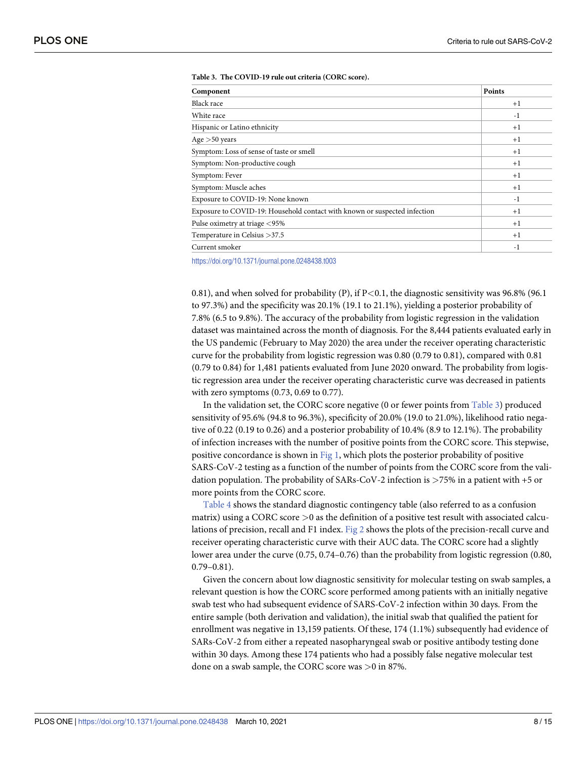<span id="page-7-0"></span>

| Component                                                                 | Points |
|---------------------------------------------------------------------------|--------|
| Black race                                                                | $+1$   |
| White race                                                                | $-1$   |
| Hispanic or Latino ethnicity                                              | $+1$   |
| Age $>50$ years                                                           | $+1$   |
| Symptom: Loss of sense of taste or smell                                  | $+1$   |
| Symptom: Non-productive cough                                             | $+1$   |
| Symptom: Fever                                                            | $+1$   |
| Symptom: Muscle aches                                                     | $+1$   |
| Exposure to COVID-19: None known                                          | $-1$   |
| Exposure to COVID-19: Household contact with known or suspected infection | $+1$   |
| Pulse oximetry at triage <95%                                             | $+1$   |
| Temperature in Celsius > 37.5                                             | $+1$   |
| Current smoker                                                            | $-1$   |

#### **[Table](#page-6-0) 3. The COVID-19 rule out criteria (CORC score).**

<https://doi.org/10.1371/journal.pone.0248438.t003>

0.81), and when solved for probability (P), if P*<*0.1, the diagnostic sensitivity was 96.8% (96.1 to 97.3%) and the specificity was 20.1% (19.1 to 21.1%), yielding a posterior probability of 7.8% (6.5 to 9.8%). The accuracy of the probability from logistic regression in the validation dataset was maintained across the month of diagnosis. For the 8,444 patients evaluated early in the US pandemic (February to May 2020) the area under the receiver operating characteristic curve for the probability from logistic regression was 0.80 (0.79 to 0.81), compared with 0.81 (0.79 to 0.84) for 1,481 patients evaluated from June 2020 onward. The probability from logistic regression area under the receiver operating characteristic curve was decreased in patients with zero symptoms (0.73, 0.69 to 0.77).

In the validation set, the CORC score negative (0 or fewer points from Table 3) produced sensitivity of 95.6% (94.8 to 96.3%), specificity of 20.0% (19.0 to 21.0%), likelihood ratio negative of 0.22 (0.19 to 0.26) and a posterior probability of 10.4% (8.9 to 12.1%). The probability of infection increases with the number of positive points from the CORC score. This stepwise, positive concordance is shown in [Fig](#page-8-0) 1, which plots the posterior probability of positive SARS-CoV-2 testing as a function of the number of points from the CORC score from the validation population. The probability of SARs-CoV-2 infection is *>*75% in a patient with +5 or more points from the CORC score.

[Table](#page-8-0) 4 shows the standard diagnostic contingency table (also referred to as a confusion matrix) using a CORC score *>*0 as the definition of a positive test result with associated calculations of precision, recall and F1 index. [Fig](#page-9-0) 2 shows the plots of the precision-recall curve and receiver operating characteristic curve with their AUC data. The CORC score had a slightly lower area under the curve (0.75, 0.74–0.76) than the probability from logistic regression (0.80, 0.79–0.81).

Given the concern about low diagnostic sensitivity for molecular testing on swab samples, a relevant question is how the CORC score performed among patients with an initially negative swab test who had subsequent evidence of SARS-CoV-2 infection within 30 days. From the entire sample (both derivation and validation), the initial swab that qualified the patient for enrollment was negative in 13,159 patients. Of these, 174 (1.1%) subsequently had evidence of SARs-CoV-2 from either a repeated nasopharyngeal swab or positive antibody testing done within 30 days. Among these 174 patients who had a possibly false negative molecular test done on a swab sample, the CORC score was *>*0 in 87%.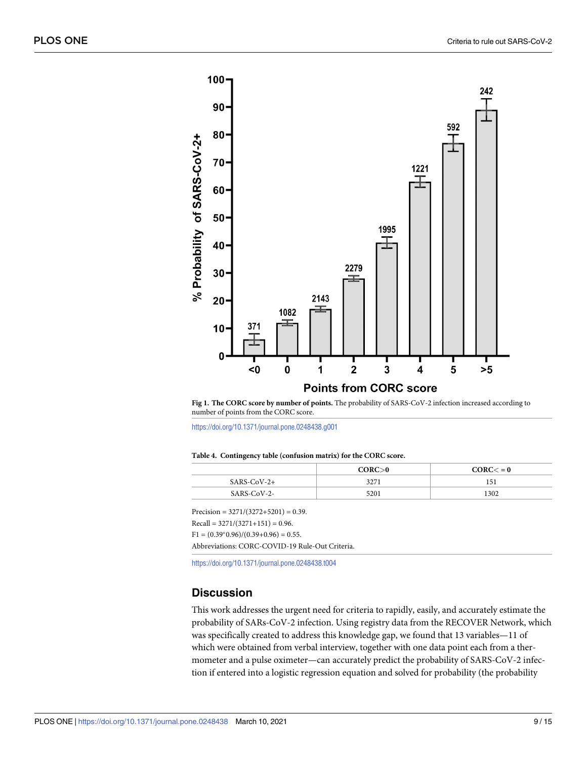<span id="page-8-0"></span>

**[Fig](#page-7-0) 1. The CORC score by number of points.** The probability of SARS-CoV-2 infection increased according to number of points from the CORC score.

<https://doi.org/10.1371/journal.pone.0248438.g001>

|  |  | Table 4. Contingency table (confusion matrix) for the CORC score. |  |  |  |  |  |
|--|--|-------------------------------------------------------------------|--|--|--|--|--|
|--|--|-------------------------------------------------------------------|--|--|--|--|--|

|             | CORC>0 | CORC < 0 |
|-------------|--------|----------|
| SARS-CoV-2+ | 3271   | 151      |
| SARS-CoV-2- | 5201   | 1302     |
|             |        |          |

Precision =  $3271/(3272+5201) = 0.39$ .

 $Recall = 3271/(3271+151) = 0.96.$ 

 $F1 = (0.39<sup>*</sup>0.96)/(0.39+0.96) = 0.55.$ 

Abbreviations: CORC-COVID-19 Rule-Out Criteria.

<https://doi.org/10.1371/journal.pone.0248438.t004>

## **Discussion**

This work addresses the urgent need for criteria to rapidly, easily, and accurately estimate the probability of SARs-CoV-2 infection. Using registry data from the RECOVER Network, which was specifically created to address this knowledge gap, we found that 13 variables—11 of which were obtained from verbal interview, together with one data point each from a thermometer and a pulse oximeter—can accurately predict the probability of SARS-CoV-2 infection if entered into a logistic regression equation and solved for probability (the probability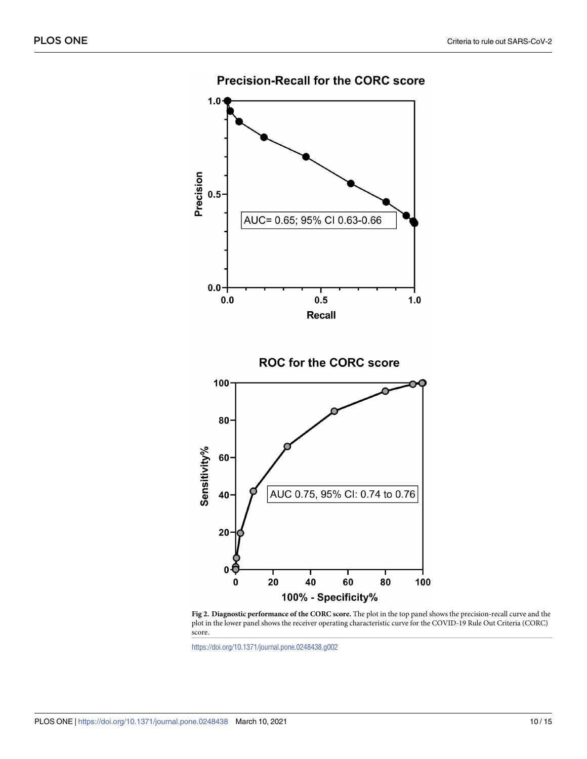<span id="page-9-0"></span>

**Precision-Recall for the CORC score** 

**[Fig](#page-7-0) 2. Diagnostic performance of the CORC score.** The plot in the top panel shows the precision-recall curve and the plot in the lower panel shows the receiver operating characteristic curve for the COVID-19 Rule Out Criteria (CORC) score.

80

100

60

<https://doi.org/10.1371/journal.pone.0248438.g002>

20

40

100% - Specificity%

20

 $\mathbf 0$ 

 $\mathbf 0$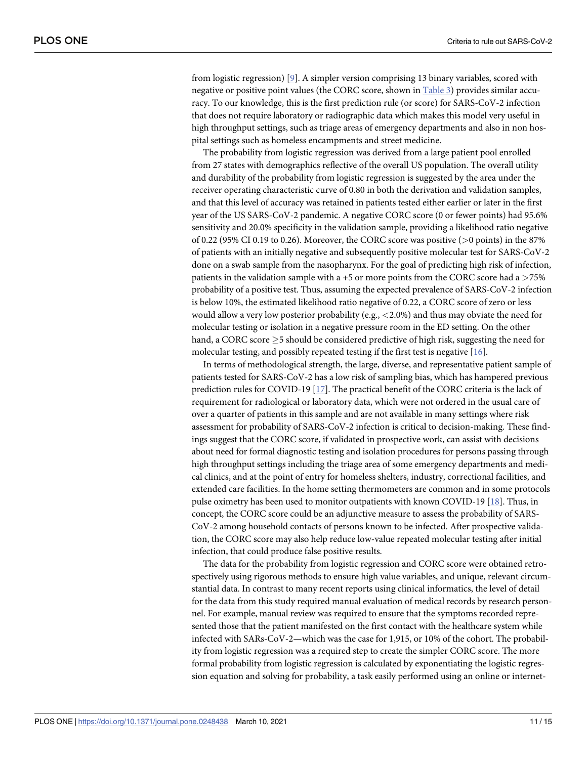<span id="page-10-0"></span>from logistic regression) [[9](#page-13-0)]. A simpler version comprising 13 binary variables, scored with negative or positive point values (the CORC score, shown in [Table](#page-7-0) 3) provides similar accuracy. To our knowledge, this is the first prediction rule (or score) for SARS-CoV-2 infection that does not require laboratory or radiographic data which makes this model very useful in high throughput settings, such as triage areas of emergency departments and also in non hospital settings such as homeless encampments and street medicine.

The probability from logistic regression was derived from a large patient pool enrolled from 27 states with demographics reflective of the overall US population. The overall utility and durability of the probability from logistic regression is suggested by the area under the receiver operating characteristic curve of 0.80 in both the derivation and validation samples, and that this level of accuracy was retained in patients tested either earlier or later in the first year of the US SARS-CoV-2 pandemic. A negative CORC score (0 or fewer points) had 95.6% sensitivity and 20.0% specificity in the validation sample, providing a likelihood ratio negative of 0.22 (95% CI 0.19 to 0.26). Moreover, the CORC score was positive (*>*0 points) in the 87% of patients with an initially negative and subsequently positive molecular test for SARS-CoV-2 done on a swab sample from the nasopharynx. For the goal of predicting high risk of infection, patients in the validation sample with a +5 or more points from the CORC score had a *>*75% probability of a positive test. Thus, assuming the expected prevalence of SARS-CoV-2 infection is below 10%, the estimated likelihood ratio negative of 0.22, a CORC score of zero or less would allow a very low posterior probability (e.g., *<*2.0%) and thus may obviate the need for molecular testing or isolation in a negative pressure room in the ED setting. On the other hand, a CORC score  $>$  5 should be considered predictive of high risk, suggesting the need for molecular testing, and possibly repeated testing if the first test is negative [[16](#page-14-0)].

In terms of methodological strength, the large, diverse, and representative patient sample of patients tested for SARS-CoV-2 has a low risk of sampling bias, which has hampered previous prediction rules for COVID-19 [\[17\]](#page-14-0). The practical benefit of the CORC criteria is the lack of requirement for radiological or laboratory data, which were not ordered in the usual care of over a quarter of patients in this sample and are not available in many settings where risk assessment for probability of SARS-CoV-2 infection is critical to decision-making. These findings suggest that the CORC score, if validated in prospective work, can assist with decisions about need for formal diagnostic testing and isolation procedures for persons passing through high throughput settings including the triage area of some emergency departments and medical clinics, and at the point of entry for homeless shelters, industry, correctional facilities, and extended care facilities. In the home setting thermometers are common and in some protocols pulse oximetry has been used to monitor outpatients with known COVID-19 [[18](#page-14-0)]. Thus, in concept, the CORC score could be an adjunctive measure to assess the probability of SARS-CoV-2 among household contacts of persons known to be infected. After prospective validation, the CORC score may also help reduce low-value repeated molecular testing after initial infection, that could produce false positive results.

The data for the probability from logistic regression and CORC score were obtained retrospectively using rigorous methods to ensure high value variables, and unique, relevant circumstantial data. In contrast to many recent reports using clinical informatics, the level of detail for the data from this study required manual evaluation of medical records by research personnel. For example, manual review was required to ensure that the symptoms recorded represented those that the patient manifested on the first contact with the healthcare system while infected with SARs-CoV-2—which was the case for 1,915, or 10% of the cohort. The probability from logistic regression was a required step to create the simpler CORC score. The more formal probability from logistic regression is calculated by exponentiating the logistic regression equation and solving for probability, a task easily performed using an online or internet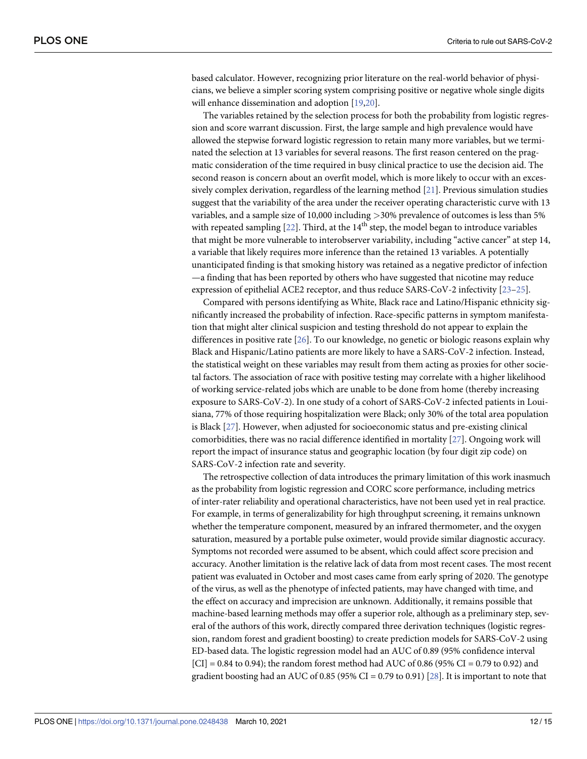<span id="page-11-0"></span>based calculator. However, recognizing prior literature on the real-world behavior of physicians, we believe a simpler scoring system comprising positive or negative whole single digits will enhance dissemination and adoption [[19,20\]](#page-14-0).

The variables retained by the selection process for both the probability from logistic regression and score warrant discussion. First, the large sample and high prevalence would have allowed the stepwise forward logistic regression to retain many more variables, but we terminated the selection at 13 variables for several reasons. The first reason centered on the pragmatic consideration of the time required in busy clinical practice to use the decision aid. The second reason is concern about an overfit model, which is more likely to occur with an excessively complex derivation, regardless of the learning method [[21](#page-14-0)]. Previous simulation studies suggest that the variability of the area under the receiver operating characteristic curve with 13 variables, and a sample size of 10,000 including *>*30% prevalence of outcomes is less than 5% with repeated sampling  $[22]$  $[22]$  $[22]$ . Third, at the  $14<sup>th</sup>$  step, the model began to introduce variables that might be more vulnerable to interobserver variability, including "active cancer" at step 14, a variable that likely requires more inference than the retained 13 variables. A potentially unanticipated finding is that smoking history was retained as a negative predictor of infection —a finding that has been reported by others who have suggested that nicotine may reduce expression of epithelial ACE2 receptor, and thus reduce SARS-CoV-2 infectivity [[23](#page-14-0)–[25](#page-14-0)].

Compared with persons identifying as White, Black race and Latino/Hispanic ethnicity significantly increased the probability of infection. Race-specific patterns in symptom manifestation that might alter clinical suspicion and testing threshold do not appear to explain the differences in positive rate [\[26\]](#page-14-0). To our knowledge, no genetic or biologic reasons explain why Black and Hispanic/Latino patients are more likely to have a SARS-CoV-2 infection. Instead, the statistical weight on these variables may result from them acting as proxies for other societal factors. The association of race with positive testing may correlate with a higher likelihood of working service-related jobs which are unable to be done from home (thereby increasing exposure to SARS-CoV-2). In one study of a cohort of SARS-CoV-2 infected patients in Louisiana, 77% of those requiring hospitalization were Black; only 30% of the total area population is Black [[27](#page-14-0)]. However, when adjusted for socioeconomic status and pre-existing clinical comorbidities, there was no racial difference identified in mortality [[27](#page-14-0)]. Ongoing work will report the impact of insurance status and geographic location (by four digit zip code) on SARS-CoV-2 infection rate and severity.

The retrospective collection of data introduces the primary limitation of this work inasmuch as the probability from logistic regression and CORC score performance, including metrics of inter-rater reliability and operational characteristics, have not been used yet in real practice. For example, in terms of generalizability for high throughput screening, it remains unknown whether the temperature component, measured by an infrared thermometer, and the oxygen saturation, measured by a portable pulse oximeter, would provide similar diagnostic accuracy. Symptoms not recorded were assumed to be absent, which could affect score precision and accuracy. Another limitation is the relative lack of data from most recent cases. The most recent patient was evaluated in October and most cases came from early spring of 2020. The genotype of the virus, as well as the phenotype of infected patients, may have changed with time, and the effect on accuracy and imprecision are unknown. Additionally, it remains possible that machine-based learning methods may offer a superior role, although as a preliminary step, several of the authors of this work, directly compared three derivation techniques (logistic regression, random forest and gradient boosting) to create prediction models for SARS-CoV-2 using ED-based data. The logistic regression model had an AUC of 0.89 (95% confidence interval  $[CI] = 0.84$  to 0.94); the random forest method had AUC of 0.86 (95% CI = 0.79 to 0.92) and gradient boosting had an AUC of 0.85 (95% CI = 0.79 to 0.91) [\[28\]](#page-14-0). It is important to note that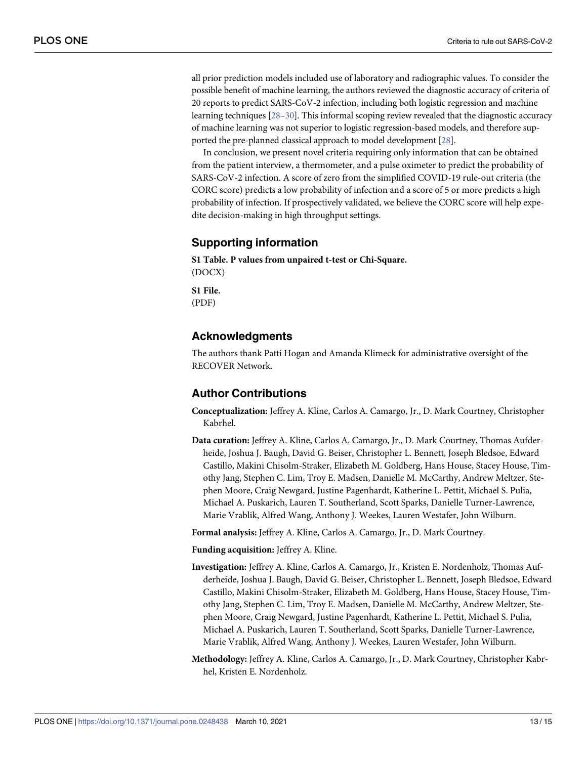<span id="page-12-0"></span>all prior prediction models included use of laboratory and radiographic values. To consider the possible benefit of machine learning, the authors reviewed the diagnostic accuracy of criteria of 20 reports to predict SARS-CoV-2 infection, including both logistic regression and machine learning techniques [\[28–30\]](#page-14-0). This informal scoping review revealed that the diagnostic accuracy of machine learning was not superior to logistic regression-based models, and therefore supported the pre-planned classical approach to model development [[28](#page-14-0)].

In conclusion, we present novel criteria requiring only information that can be obtained from the patient interview, a thermometer, and a pulse oximeter to predict the probability of SARS-CoV-2 infection. A score of zero from the simplified COVID-19 rule-out criteria (the CORC score) predicts a low probability of infection and a score of 5 or more predicts a high probability of infection. If prospectively validated, we believe the CORC score will help expedite decision-making in high throughput settings.

### **Supporting information**

**S1 [Table.](http://www.plosone.org/article/fetchSingleRepresentation.action?uri=info:doi/10.1371/journal.pone.0248438.s001) P values from unpaired t-test or Chi-Square.** (DOCX)

**S1 [File.](http://www.plosone.org/article/fetchSingleRepresentation.action?uri=info:doi/10.1371/journal.pone.0248438.s002)** (PDF)

# **Acknowledgments**

The authors thank Patti Hogan and Amanda Klimeck for administrative oversight of the RECOVER Network.

# **Author Contributions**

- **Conceptualization:** Jeffrey A. Kline, Carlos A. Camargo, Jr., D. Mark Courtney, Christopher Kabrhel.
- **Data curation:** Jeffrey A. Kline, Carlos A. Camargo, Jr., D. Mark Courtney, Thomas Aufderheide, Joshua J. Baugh, David G. Beiser, Christopher L. Bennett, Joseph Bledsoe, Edward Castillo, Makini Chisolm-Straker, Elizabeth M. Goldberg, Hans House, Stacey House, Timothy Jang, Stephen C. Lim, Troy E. Madsen, Danielle M. McCarthy, Andrew Meltzer, Stephen Moore, Craig Newgard, Justine Pagenhardt, Katherine L. Pettit, Michael S. Pulia, Michael A. Puskarich, Lauren T. Southerland, Scott Sparks, Danielle Turner-Lawrence, Marie Vrablik, Alfred Wang, Anthony J. Weekes, Lauren Westafer, John Wilburn.

**Formal analysis:** Jeffrey A. Kline, Carlos A. Camargo, Jr., D. Mark Courtney.

**Funding acquisition:** Jeffrey A. Kline.

- **Investigation:** Jeffrey A. Kline, Carlos A. Camargo, Jr., Kristen E. Nordenholz, Thomas Aufderheide, Joshua J. Baugh, David G. Beiser, Christopher L. Bennett, Joseph Bledsoe, Edward Castillo, Makini Chisolm-Straker, Elizabeth M. Goldberg, Hans House, Stacey House, Timothy Jang, Stephen C. Lim, Troy E. Madsen, Danielle M. McCarthy, Andrew Meltzer, Stephen Moore, Craig Newgard, Justine Pagenhardt, Katherine L. Pettit, Michael S. Pulia, Michael A. Puskarich, Lauren T. Southerland, Scott Sparks, Danielle Turner-Lawrence, Marie Vrablik, Alfred Wang, Anthony J. Weekes, Lauren Westafer, John Wilburn.
- **Methodology:** Jeffrey A. Kline, Carlos A. Camargo, Jr., D. Mark Courtney, Christopher Kabrhel, Kristen E. Nordenholz.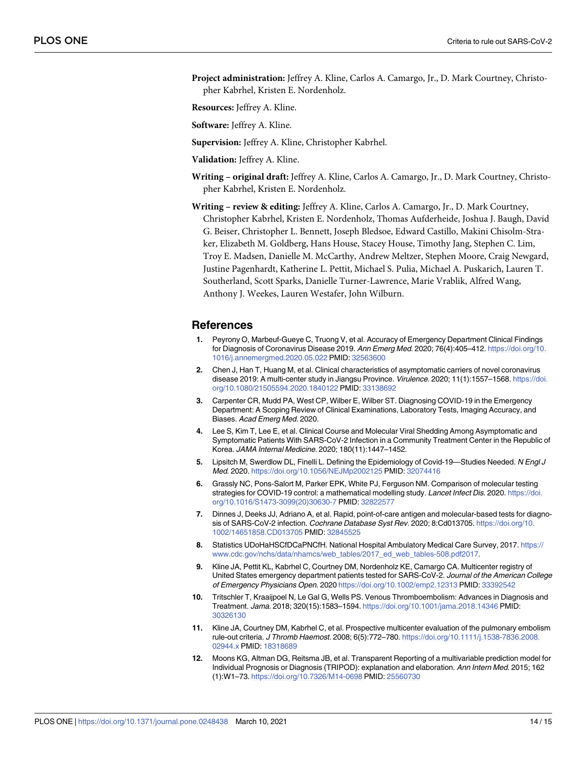<span id="page-13-0"></span>**Project administration:** Jeffrey A. Kline, Carlos A. Camargo, Jr., D. Mark Courtney, Christopher Kabrhel, Kristen E. Nordenholz.

**Resources:** Jeffrey A. Kline.

**Software:** Jeffrey A. Kline.

- **Supervision:** Jeffrey A. Kline, Christopher Kabrhel.
- **Validation:** Jeffrey A. Kline.
- **Writing – original draft:** Jeffrey A. Kline, Carlos A. Camargo, Jr., D. Mark Courtney, Christopher Kabrhel, Kristen E. Nordenholz.
- **Writing – review & editing:** Jeffrey A. Kline, Carlos A. Camargo, Jr., D. Mark Courtney, Christopher Kabrhel, Kristen E. Nordenholz, Thomas Aufderheide, Joshua J. Baugh, David G. Beiser, Christopher L. Bennett, Joseph Bledsoe, Edward Castillo, Makini Chisolm-Straker, Elizabeth M. Goldberg, Hans House, Stacey House, Timothy Jang, Stephen C. Lim, Troy E. Madsen, Danielle M. McCarthy, Andrew Meltzer, Stephen Moore, Craig Newgard, Justine Pagenhardt, Katherine L. Pettit, Michael S. Pulia, Michael A. Puskarich, Lauren T. Southerland, Scott Sparks, Danielle Turner-Lawrence, Marie Vrablik, Alfred Wang, Anthony J. Weekes, Lauren Westafer, John Wilburn.

#### **References**

- **[1](#page-2-0).** Peyrony O, Marbeuf-Gueye C, Truong V, et al. Accuracy of Emergency Department Clinical Findings for Diagnosis of Coronavirus Disease 2019. Ann Emerg Med. 2020; 76(4):405–412. [https://doi.org/10.](https://doi.org/10.1016/j.annemergmed.2020.05.022) [1016/j.annemergmed.2020.05.022](https://doi.org/10.1016/j.annemergmed.2020.05.022) PMID: [32563600](http://www.ncbi.nlm.nih.gov/pubmed/32563600)
- **[2](#page-2-0).** Chen J, Han T, Huang M, et al. Clinical characteristics of asymptomatic carriers of novel coronavirus disease 2019: A multi-center study in Jiangsu Province. Virulence. 2020; 11(1):1557-1568. [https://doi.](https://doi.org/10.1080/21505594.2020.1840122) [org/10.1080/21505594.2020.1840122](https://doi.org/10.1080/21505594.2020.1840122) PMID: [33138692](http://www.ncbi.nlm.nih.gov/pubmed/33138692)
- **[3](#page-2-0).** Carpenter CR, Mudd PA, West CP, Wilber E, Wilber ST. Diagnosing COVID-19 in the Emergency Department: A Scoping Review of Clinical Examinations, Laboratory Tests, Imaging Accuracy, and Biases. Acad Emerg Med. 2020.
- **[4](#page-2-0).** Lee S, Kim T, Lee E, et al. Clinical Course and Molecular Viral Shedding Among Asymptomatic and Symptomatic Patients With SARS-CoV-2 Infection in a Community Treatment Center in the Republic of Korea. JAMA Internal Medicine. 2020; 180(11):1447–1452.
- **[5](#page-2-0).** Lipsitch M, Swerdlow DL, Finelli L. Defining the Epidemiology of Covid-19—Studies Needed. N Engl J Med. 2020. <https://doi.org/10.1056/NEJMp2002125> PMID: [32074416](http://www.ncbi.nlm.nih.gov/pubmed/32074416)
- **6.** Grassly NC, Pons-Salort M, Parker EPK, White PJ, Ferguson NM. Comparison of molecular testing strategies for COVID-19 control: a mathematical modelling study. Lancet Infect Dis. 2020. [https://doi.](https://doi.org/10.1016/S1473-3099%2820%2930630-7) [org/10.1016/S1473-3099\(20\)30630-7](https://doi.org/10.1016/S1473-3099%2820%2930630-7) PMID: [32822577](http://www.ncbi.nlm.nih.gov/pubmed/32822577)
- **[7](#page-2-0).** Dinnes J, Deeks JJ, Adriano A, et al. Rapid, point-of-care antigen and molecular-based tests for diagnosis of SARS-CoV-2 infection. Cochrane Database Syst Rev. 2020; 8:Cd013705. [https://doi.org/10.](https://doi.org/10.1002/14651858.CD013705) [1002/14651858.CD013705](https://doi.org/10.1002/14651858.CD013705) PMID: [32845525](http://www.ncbi.nlm.nih.gov/pubmed/32845525)
- [8](#page-2-0). Statistics UDoHaHSCfDCaPNCfH. National Hospital Ambulatory Medical Care Survey, 2017. [https://](https://www.cdc.gov/nchs/data/nhamcs/web_tables/2017_ed_web_tables-508.pdf2017) [www.cdc.gov/nchs/data/nhamcs/web\\_tables/2017\\_ed\\_web\\_tables-508.pdf2017](https://www.cdc.gov/nchs/data/nhamcs/web_tables/2017_ed_web_tables-508.pdf2017).
- **[9](#page-2-0).** Kline JA, Pettit KL, Kabrhel C, Courtney DM, Nordenholz KE, Camargo CA. Multicenter registry of United States emergency department patients tested for SARS-CoV-2. Journal of the American College of Emergency Physicians Open. 2020 <https://doi.org/10.1002/emp2.12313> PMID: [33392542](http://www.ncbi.nlm.nih.gov/pubmed/33392542)
- **[10](#page-2-0).** Tritschler T, Kraaijpoel N, Le Gal G, Wells PS. Venous Thromboembolism: Advances in Diagnosis and Treatment. Jama. 2018; 320(15):1583–1594. <https://doi.org/10.1001/jama.2018.14346> PMID: [30326130](http://www.ncbi.nlm.nih.gov/pubmed/30326130)
- **[11](#page-2-0).** Kline JA, Courtney DM, Kabrhel C, et al. Prospective multicenter evaluation of the pulmonary embolism rule-out criteria. J Thromb Haemost. 2008; 6(5):772–780. [https://doi.org/10.1111/j.1538-7836.2008.](https://doi.org/10.1111/j.1538-7836.2008.02944.x) [02944.x](https://doi.org/10.1111/j.1538-7836.2008.02944.x) PMID: [18318689](http://www.ncbi.nlm.nih.gov/pubmed/18318689)
- **[12](#page-2-0).** Moons KG, Altman DG, Reitsma JB, et al. Transparent Reporting of a multivariable prediction model for Individual Prognosis or Diagnosis (TRIPOD): explanation and elaboration. Ann Intern Med. 2015; 162 (1):W1–73. <https://doi.org/10.7326/M14-0698> PMID: [25560730](http://www.ncbi.nlm.nih.gov/pubmed/25560730)